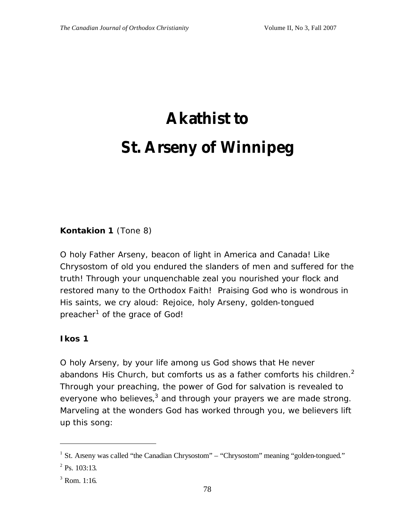# **Akathist to St. Arseny of Winnipeg**

#### **Kontakion 1** *(Tone 8)*

O holy Father Arseny, beacon of light in America and Canada! Like Chrysostom of old you endured the slanders of men and suffered for the truth! Through your unquenchable zeal you nourished your flock and restored many to the Orthodox Faith! Praising God who is wondrous in His saints, we cry aloud: Rejoice, holy Arseny, golden-tongued preacher<sup>1</sup> of the grace of God!

#### **Ikos 1**

O holy Arseny, by your life among us God shows that He never abandons His Church, but comforts us as a father comforts his children. $^2$ Through your preaching, the power of God for salvation is revealed to everyone who believes,<sup>3</sup> and through your prayers we are made strong. Marveling at the wonders God has worked through you, we believers lift up this song:

<sup>&</sup>lt;sup>1</sup> St. Arseny was called "the Canadian Chrysostom" – "Chrysostom" meaning "golden-tongued."

 $2$  Ps. 103:13.

 $3$  Rom. 1:16.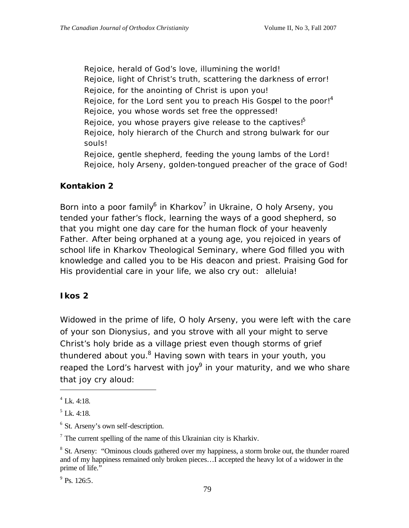Rejoice, herald of God's love, illumining the world! Rejoice, light of Christ's truth, scattering the darkness of error! Rejoice, for the anointing of Christ is upon you! Rejoice, for the Lord sent you to preach His Gospel to the poor! $4$ Rejoice, you whose words set free the oppressed! Rejoice, you whose prayers give release to the captives!<sup>5</sup> Rejoice, holy hierarch of the Church and strong bulwark for our souls! Rejoice, gentle shepherd, feeding the young lambs of the Lord! Rejoice, holy Arseny, golden-tongued preacher of the grace of God!

#### **Kontakion 2**

Born into a poor family<sup>6</sup> in Kharkov<sup>7</sup> in Ukraine, O holy Arseny, you tended your father's flock, learning the ways of a good shepherd, so that you might one day care for the human flock of your heavenly Father. After being orphaned at a young age, you rejoiced in years of school life in Kharkov Theological Seminary, where God filled you with knowledge and called you to be His deacon and priest. Praising God for His providential care in your life, we also cry out: alleluia!

#### **Ikos 2**

Widowed in the prime of life, O holy Arseny, you were left with the care of your son Dionysius, and you strove with all your might to serve Christ's holy bride as a village priest even though storms of grief thundered about you.<sup>8</sup> Having sown with tears in your youth, you reaped the Lord's harvest with joy $9$  in your maturity, and we who share that joy cry aloud:

 $\overline{a}$ 

 $7$  The current spelling of the name of this Ukrainian city is Kharkiv.

 $9$  Ps. 126:5.

<sup>4</sup> Lk. 4:18.

 $<sup>5</sup>$  Lk. 4:18.</sup>

<sup>&</sup>lt;sup>6</sup> St. Arseny's own self-description.

<sup>&</sup>lt;sup>8</sup> St. Arseny: "Ominous clouds gathered over my happiness, a storm broke out, the thunder roared and of my happiness remained only broken pieces…I accepted the heavy lot of a widower in the prime of life."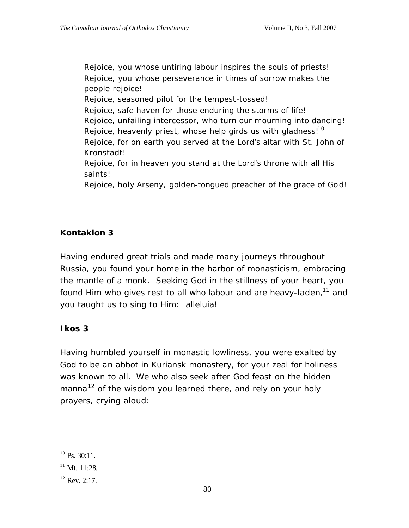Rejoice, you whose untiring labour inspires the souls of priests! Rejoice, you whose perseverance in times of sorrow makes the people rejoice!

Rejoice, seasoned pilot for the tempest-tossed!

Rejoice, safe haven for those enduring the storms of life!

Rejoice, unfailing intercessor, who turn our mourning into dancing! Rejoice, heavenly priest, whose help girds us with gladness! $10$ 

Rejoice, for on earth you served at the Lord's altar with St. John of Kronstadt!

Rejoice, for in heaven you stand at the Lord's throne with all His saints!

Rejoice, holy Arseny, golden-tongued preacher of the grace of God!

# **Kontakion 3**

Having endured great trials and made many journeys throughout Russia, you found your home in the harbor of monasticism, embracing the mantle of a monk. Seeking God in the stillness of your heart, you found Him who gives rest to all who labour and are heavy-laden,<sup>11</sup> and you taught us to sing to Him: alleluia!

#### **Ikos 3**

Having humbled yourself in monastic lowliness, you were exalted by God to be an abbot in Kuriansk monastery, for your zeal for holiness was known to all. We who also seek after God feast on the hidden manna<sup>12</sup> of the wisdom you learned there, and rely on your holy prayers, crying aloud:

 $10$  Ps. 30:11.

 $11$  Mt. 11:28.

 $12$  Rev. 2:17.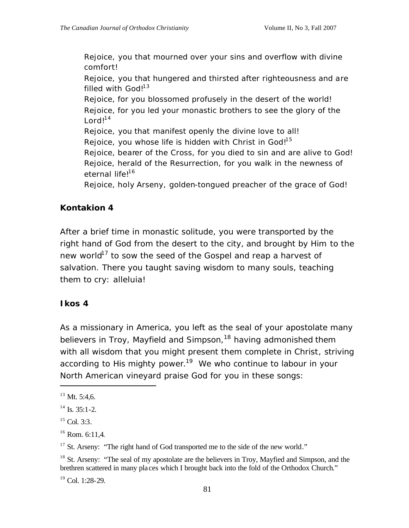Rejoice, you that mourned over your sins and overflow with divine comfort!

Rejoice, you that hungered and thirsted after righteousness and are filled with  $God!^{13}$ 

Rejoice, for you blossomed profusely in the desert of the world! Rejoice, for you led your monastic brothers to see the glory of the  $Lord!^{14}$ 

Rejoice, you that manifest openly the divine love to all!

Rejoice, you whose life is hidden with Christ in God!<sup>15</sup>

Rejoice, bearer of the Cross, for you died to sin and are alive to God! Rejoice, herald of the Resurrection, for you walk in the newness of eternal life!<sup>16</sup>

Rejoice, holy Arseny, golden-tongued preacher of the grace of God!

# **Kontakion 4**

After a brief time in monastic solitude, you were transported by the right hand of God from the desert to the city, and brought by Him to the new world<sup>17</sup> to sow the seed of the Gospel and reap a harvest of salvation. There you taught saving wisdom to many souls, teaching them to cry: alleluia!

#### **Ikos 4**

As a missionary in America, you left as the seal of your apostolate many believers in Troy, Mayfield and Simpson,<sup>18</sup> having admonished them with all wisdom that you might present them complete in Christ, striving according to His mighty power.<sup>19</sup> We who continue to labour in your North American vineyard praise God for you in these songs:

 $\overline{a}$ 

 $19$  Col. 1:28-29.

 $13$  Mt. 5:4,6.

 $14$  Is. 35:1-2.

 $15$  Col. 3:3.

 $16$  Rom. 6:11.4.

<sup>&</sup>lt;sup>17</sup> St. Arseny: "The right hand of God transported me to the side of the new world."

<sup>&</sup>lt;sup>18</sup> St. Arseny: "The seal of my apostolate are the believers in Troy, Mayfied and Simpson, and the brethren scattered in many pla ces which I brought back into the fold of the Orthodox Church."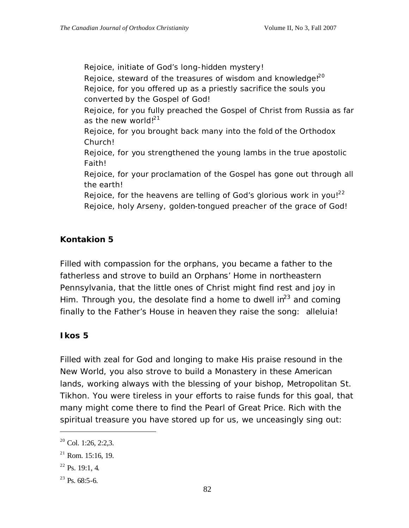Rejoice, initiate of God's long-hidden mystery! Rejoice, steward of the treasures of wisdom and knowledge! $20$ Rejoice, for you offered up as a priestly sacrifice the souls you converted by the Gospel of God! Rejoice, for you fully preached the Gospel of Christ from Russia as far as the new world! $^{21}$ Rejoice, for you brought back many into the fold of the Orthodox Church! Rejoice, for you strengthened the young lambs in the true apostolic Faith! Rejoice, for your proclamation of the Gospel has gone out through all the earth! Rejoice, for the heavens are telling of God's glorious work in you! $22$ Rejoice, holy Arseny, golden-tongued preacher of the grace of God!

# **Kontakion 5**

Filled with compassion for the orphans, you became a father to the fatherless and strove to build an Orphans' Home in northeastern Pennsylvania, that the little ones of Christ might find rest and joy in Him. Through you, the desolate find a home to dwell  $\text{in}^{23}$  and coming finally to the Father's House in heaven they raise the song: alleluia!

# **Ikos 5**

Filled with zeal for God and longing to make His praise resound in the New World, you also strove to build a Monastery in these American lands, working always with the blessing of your bishop, Metropolitan St. Tikhon. You were tireless in your efforts to raise funds for this goal, that many might come there to find the Pearl of Great Price. Rich with the spiritual treasure you have stored up for us, we unceasingly sing out:

 $2^{\circ}$  Col. 1:26, 2:2.3.

 $21$  Rom. 15:16, 19.

 $^{22}$  Ps. 19:1, 4.

 $^{23}$  Ps. 68:5-6.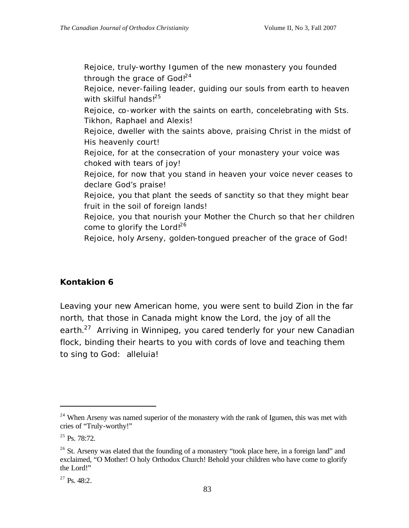Rejoice, truly-worthy Igumen of the new monastery you founded through the grace of  $God!^{24}$ 

Rejoice, never-failing leader, guiding our souls from earth to heaven with skilful hands! $^{25}$ 

Rejoice, co-worker with the saints on earth, concelebrating with Sts. Tikhon, Raphael and Alexis!

Rejoice, dweller with the saints above, praising Christ in the midst of His heavenly court!

Rejoice, for at the consecration of your monastery your voice was choked with tears of joy!

Rejoice, for now that you stand in heaven your voice never ceases to declare God's praise!

Rejoice, you that plant the seeds of sanctity so that they might bear fruit in the soil of foreign lands!

Rejoice, you that nourish your Mother the Church so that her children come to glorify the Lord! $26$ 

Rejoice, holy Arseny, golden-tongued preacher of the grace of God!

# **Kontakion 6**

Leaving your new American home, you were sent to build Zion in the far north, that those in Canada might know the Lord, the joy of all the earth.<sup>27</sup> Arriving in Winnipeg, you cared tenderly for your new Canadian flock, binding their hearts to you with cords of love and teaching them to sing to God: alleluia!

<sup>&</sup>lt;sup>24</sup> When Arseny was named superior of the monastery with the rank of Igumen, this was met with cries of "Truly-worthy!"

 $^{25}$  Ps. 78:72.

 $26$  St. Arseny was elated that the founding of a monastery "took place here, in a foreign land" and exclaimed, "O Mother! O holy Orthodox Church! Behold your children who have come to glorify the Lord!"

 $^{27}$  Ps. 48:2.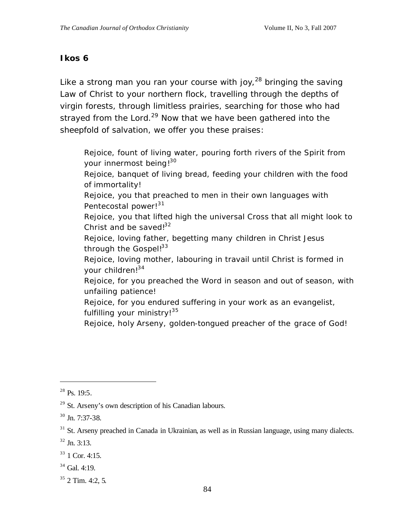#### **Ikos 6**

Like a strong man you ran your course with joy,<sup>28</sup> bringing the saving Law of Christ to your northern flock, travelling through the depths of virgin forests, through limitless prairies, searching for those who had strayed from the Lord.<sup>29</sup> Now that we have been gathered into the sheepfold of salvation, we offer you these praises:

Rejoice, fount of living water, pouring forth rivers of the Spirit from your innermost being!<sup>30</sup>

Rejoice, banquet of living bread, feeding your children with the food of immortality!

Rejoice, you that preached to men in their own languages with Pentecostal power!<sup>31</sup>

Rejoice, you that lifted high the universal Cross that all might look to Christ and be saved! $32$ 

Rejoice, loving father, begetting many children in Christ Jesus through the Gospel! $33$ 

Rejoice, loving mother, labouring in travail until Christ is formed in your children!<sup>34</sup>

Rejoice, for you preached the Word in season and out of season, with unfailing patience!

Rejoice, for you endured suffering in your work as an evangelist, fulfilling your ministry!<sup>35</sup>

Rejoice, holy Arseny, golden-tongued preacher of the grace of God!

 $^{28}$  Ps. 19:5.

 $29$  St. Arseny's own description of his Canadian labours.

 $30$  Jn. 7:37-38.

 $31$  St. Arseny preached in Canada in Ukrainian, as well as in Russian language, using many dialects.

 $32$  Jn. 3:13.

 $33$  1 Cor. 4:15.

 $34$  Gal. 4:19.

 $35$  2 Tim. 4:2, 5.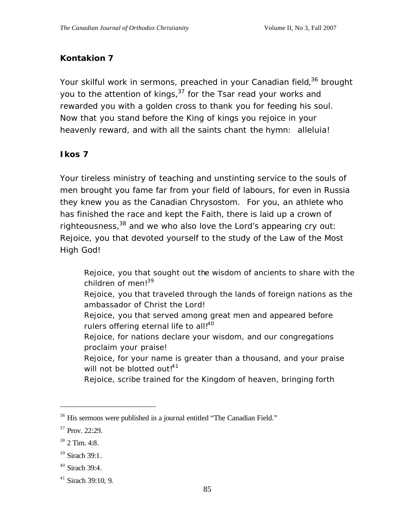# **Kontakion 7**

Your skilful work in sermons, preached in your Canadian field,<sup>36</sup> brought you to the attention of kings,<sup>37</sup> for the Tsar read your works and rewarded you with a golden cross to thank you for feeding his soul. Now that you stand before the King of kings you rejoice in your heavenly reward, and with all the saints chant the hymn: alleluia!

# **Ikos 7**

Your tireless ministry of teaching and unstinting service to the souls of men brought you fame far from your field of labours, for even in Russia they knew you as the Canadian Chrysostom. For you, an athlete who has finished the race and kept the Faith, there is laid up a crown of righteousness, $38$  and we who also love the Lord's appearing cry out: Rejoice, you that devoted yourself to the study of the Law of the Most High God!

- Rejoice, you that sought out the wisdom of ancients to share with the children of men!<sup>39</sup>
- Rejoice, you that traveled through the lands of foreign nations as the ambassador of Christ the Lord!
- Rejoice, you that served among great men and appeared before rulers offering eternal life to all!<sup>40</sup>
- Rejoice, for nations declare your wisdom, and our congregations proclaim your praise!
- Rejoice, for your name is greater than a thousand, and your praise will not be blotted out!<sup>41</sup>
- Rejoice, scribe trained for the Kingdom of heaven, bringing forth

<sup>&</sup>lt;sup>36</sup> His sermons were published in a journal entitled "The Canadian Field."

<sup>&</sup>lt;sup>37</sup> Prov. 22:29.

 $38$  2 Tim. 4:8.

 $39$  Sirach 39:1.

 $40$  Sirach 39:4.

 $41$  Sirach 39:10, 9.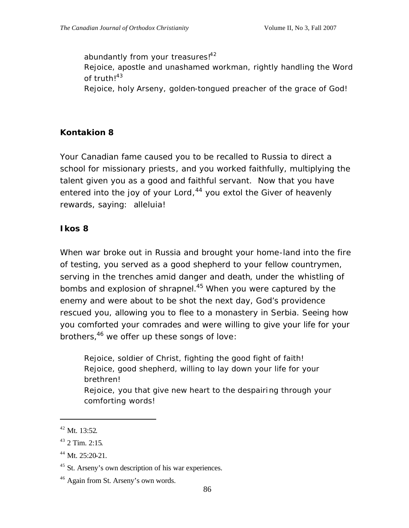abundantly from your treasures!<sup>42</sup> Rejoice, apostle and unashamed workman, rightly handling the Word of truth! $43$ Rejoice, holy Arseny, golden-tongued preacher of the grace of God!

# **Kontakion 8**

Your Canadian fame caused you to be recalled to Russia to direct a school for missionary priests, and you worked faithfully, multiplying the talent given you as a good and faithful servant. Now that you have entered into the joy of your Lord,<sup>44</sup> you extol the Giver of heavenly rewards, saying: alleluia!

#### **Ikos 8**

When war broke out in Russia and brought your home-land into the fire of testing, you served as a good shepherd to your fellow countrymen, serving in the trenches amid danger and death, under the whistling of bombs and explosion of shrapnel.<sup>45</sup> When you were captured by the enemy and were about to be shot the next day, God's providence rescued you, allowing you to flee to a monastery in Serbia. Seeing how you comforted your comrades and were willing to give your life for your brothers,<sup>46</sup> we offer up these songs of love:

Rejoice, soldier of Christ, fighting the good fight of faith! Rejoice, good shepherd, willing to lay down your life for your brethren! Rejoice, you that give new heart to the despairing through your comforting words!

 $42$  Mt. 13:52.

 $43$  2 Tim. 2:15.

<sup>44</sup> Mt. 25:20-21.

<sup>&</sup>lt;sup>45</sup> St. Arseny's own description of his war experiences.

<sup>&</sup>lt;sup>46</sup> Again from St. Arseny's own words.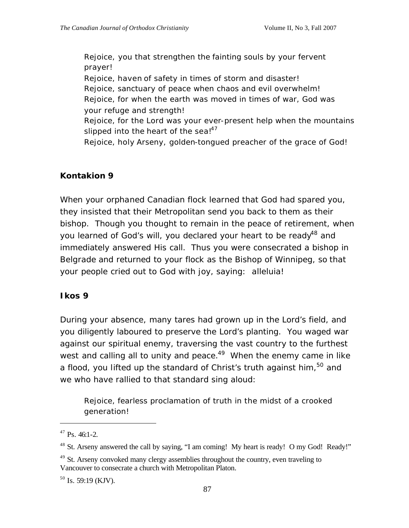Rejoice, you that strengthen the fainting souls by your fervent prayer! Rejoice, haven of safety in times of storm and disaster! Rejoice, sanctuary of peace when chaos and evil overwhelm! Rejoice, for when the earth was moved in times of war, God was your refuge and strength! Rejoice, for the Lord was your ever-present help when the mountains slipped into the heart of the sea! $147$ Rejoice, holy Arseny, golden-tongued preacher of the grace of God!

# **Kontakion 9**

When your orphaned Canadian flock learned that God had spared you, they insisted that their Metropolitan send you back to them as their bishop. Though you thought to remain in the peace of retirement, when you learned of God's will, you declared your heart to be ready<sup>48</sup> and immediately answered His call. Thus you were consecrated a bishop in Belgrade and returned to your flock as the Bishop of Winnipeg, so that your people cried out to God with joy, saying: alleluia!

#### **Ikos 9**

During your absence, many tares had grown up in the Lord's field, and you diligently laboured to preserve the Lord's planting. You waged war against our spiritual enemy, traversing the vast country to the furthest west and calling all to unity and peace. $49$  When the enemy came in like a flood, you lifted up the standard of Christ's truth against him,<sup>50</sup> and we who have rallied to that standard sing aloud:

Rejoice, fearless proclamation of truth in the midst of a crooked generation!

 $47$  Ps. 46:1-2.

<sup>&</sup>lt;sup>48</sup> St. Arseny answered the call by saying, "I am coming! My heart is ready! O my God! Ready!"

 $49$  St. Arseny convoked many clergy assemblies throughout the country, even traveling to Vancouver to consecrate a church with Metropolitan Platon.

 $50$  Is. 59:19 (KJV).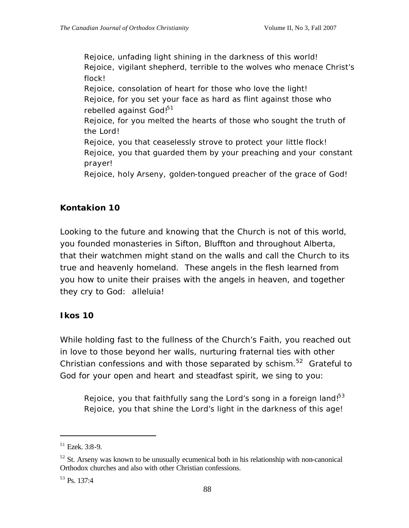Rejoice, unfading light shining in the darkness of this world! Rejoice, vigilant shepherd, terrible to the wolves who menace Christ's flock! Rejoice, consolation of heart for those who love the light! Rejoice, for you set your face as hard as flint against those who rebelled against God!<sup>51</sup> Rejoice, for you melted the hearts of those who sought the truth of the Lord! Rejoice, you that ceaselessly strove to protect your little flock! Rejoice, you that guarded them by your preaching and your constant prayer! Rejoice, holy Arseny, golden-tongued preacher of the grace of God!

#### **Kontakion 10**

Looking to the future and knowing that the Church is not of this world, you founded monasteries in Sifton, Bluffton and throughout Alberta, that their watchmen might stand on the walls and call the Church to its true and heavenly homeland. These angels in the flesh learned from you how to unite their praises with the angels in heaven, and together they cry to God: alleluia!

#### **Ikos 10**

While holding fast to the fullness of the Church's Faith, you reached out in love to those beyond her walls, nurturing fraternal ties with other Christian confessions and with those separated by schism.<sup>52</sup> Grateful to God for your open and heart and steadfast spirit, we sing to you:

Rejoice, you that faithfully sang the Lord's song in a foreign land! $53$ Rejoice, you that shine the Lord's light in the darkness of this age!

 $51$  Ezek. 3:8-9.

 $52$  St. Arseny was known to be unusually ecumenical both in his relationship with non-canonical Orthodox churches and also with other Christian confessions.

 $53$  Ps. 137:4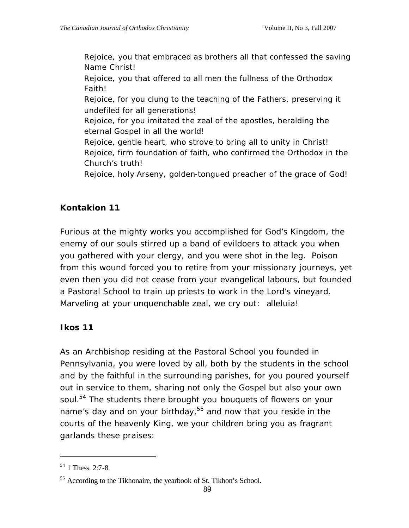Rejoice, you that embraced as brothers all that confessed the saving Name Christ!

Rejoice, you that offered to all men the fullness of the Orthodox Faith!

Rejoice, for you clung to the teaching of the Fathers, preserving it undefiled for all generations!

Rejoice, for you imitated the zeal of the apostles, heralding the eternal Gospel in all the world!

Rejoice, gentle heart, who strove to bring all to unity in Christ! Rejoice, firm foundation of faith, who confirmed the Orthodox in the Church's truth!

Rejoice, holy Arseny, golden-tongued preacher of the grace of God!

# **Kontakion 11**

Furious at the mighty works you accomplished for God's Kingdom, the enemy of our souls stirred up a band of evildoers to attack you when you gathered with your clergy, and you were shot in the leg. Poison from this wound forced you to retire from your missionary journeys, yet even then you did not cease from your evangelical labours, but founded a Pastoral School to train up priests to work in the Lord's vineyard. Marveling at your unquenchable zeal, we cry out: alleluia!

# **Ikos 11**

As an Archbishop residing at the Pastoral School you founded in Pennsylvania, you were loved by all, both by the students in the school and by the faithful in the surrounding parishes, for you poured yourself out in service to them, sharing not only the Gospel but also your own soul.<sup>54</sup> The students there brought you bouquets of flowers on your name's day and on your birthday,  $55$  and now that you reside in the courts of the heavenly King, we your children bring you as fragrant garlands these praises:

 $54$  1 Thess. 2:7-8.

<sup>&</sup>lt;sup>55</sup> According to the Tikhonaire, the yearbook of St. Tikhon's School.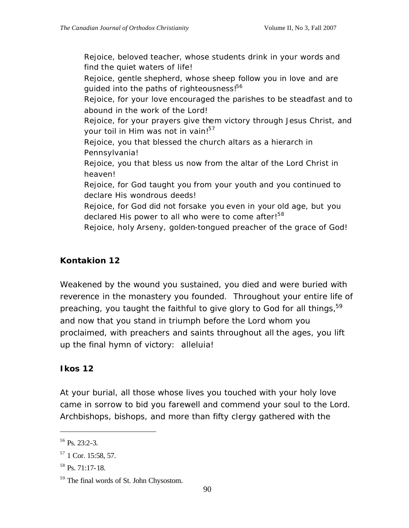Rejoice, beloved teacher, whose students drink in your words and find the quiet waters of life!

Rejoice, gentle shepherd, whose sheep follow you in love and are guided into the paths of righteousness!<sup>56</sup>

Rejoice, for your love encouraged the parishes to be steadfast and to abound in the work of the Lord!

Rejoice, for your prayers give them victory through Jesus Christ, and your toil in Him was not in vain!<sup>57</sup>

Rejoice, you that blessed the church altars as a hierarch in Pennsylvania!

Rejoice, you that bless us now from the altar of the Lord Christ in heaven!

Rejoice, for God taught you from your youth and you continued to declare His wondrous deeds!

Rejoice, for God did not forsake you even in your old age, but you declared His power to all who were to come after!<sup>58</sup>

Rejoice, holy Arseny, golden-tongued preacher of the grace of God!

# **Kontakion 12**

Weakened by the wound you sustained, you died and were buried with reverence in the monastery you founded. Throughout your entire life of preaching, you taught the faithful to give glory to God for all things,<sup>59</sup> and now that you stand in triumph before the Lord whom you proclaimed, with preachers and saints throughout all the ages, you lift up the final hymn of victory: alleluia!

# **Ikos 12**

At your burial, all those whose lives you touched with your holy love came in sorrow to bid you farewell and commend your soul to the Lord. Archbishops, bishops, and more than fifty clergy gathered with the

 $56$  Ps. 23:2-3.

 $57$  1 Cor. 15:58, 57.

 $58$  Ps. 71:17-18.

<sup>59</sup> The final words of St. John Chysostom.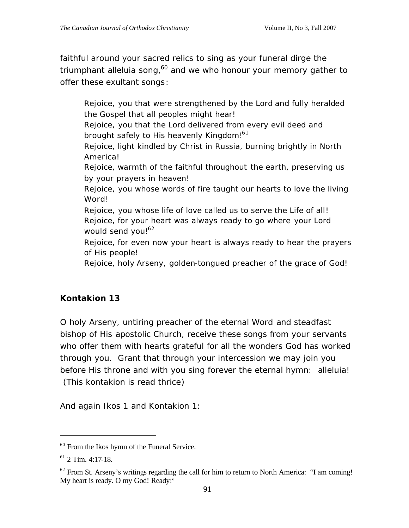faithful around your sacred relics to sing as your funeral dirge the triumphant alleluia song,<sup>60</sup> and we who honour your memory gather to offer these exultant songs:

Rejoice, you that were strengthened by the Lord and fully heralded the Gospel that all peoples might hear! Rejoice, you that the Lord delivered from every evil deed and brought safely to His heavenly Kingdom!<sup>61</sup> Rejoice, light kindled by Christ in Russia, burning brightly in North America! Rejoice, warmth of the faithful throughout the earth, preserving us by your prayers in heaven! Rejoice, you whose words of fire taught our hearts to love the living Word! Rejoice, you whose life of love called us to serve the Life of all! Rejoice, for your heart was always ready to go where your Lord would send you!<sup>62</sup> Rejoice, for even now your heart is always ready to hear the prayers of His people! Rejoice, holy Arseny, golden-tongued preacher of the grace of God!

# **Kontakion 13**

O holy Arseny, untiring preacher of the eternal Word and steadfast bishop of His apostolic Church, receive these songs from your servants who offer them with hearts grateful for all the wonders God has worked through you. Grant that through your intercession we may join you before His throne and with you sing forever the eternal hymn: alleluia! (*This kontakion is read thrice*)

*And again Ikos 1 and Kontakion 1:*

<sup>&</sup>lt;sup>60</sup> From the Ikos hymn of the Funeral Service.

 $61$  2 Tim. 4:17-18.

 $62$  From St. Arseny's writings regarding the call for him to return to North America: "I am coming! My heart is ready. O my God! Ready!"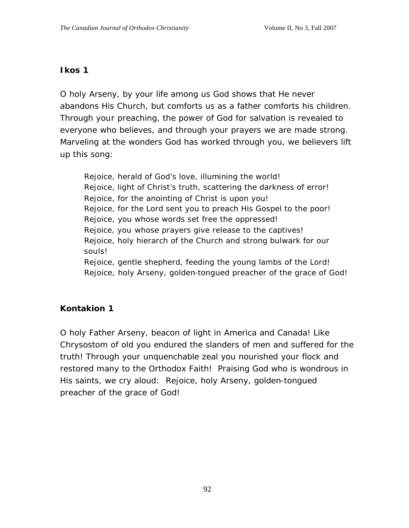#### **Ikos 1**

O holy Arseny, by your life among us God shows that He never abandons His Church, but comforts us as a father comforts his children. Through your preaching, the power of God for salvation is revealed to everyone who believes, and through your prayers we are made strong. Marveling at the wonders God has worked through you, we believers lift up this song:

Rejoice, herald of God's love, illumining the world! Rejoice, light of Christ's truth, scattering the darkness of error! Rejoice, for the anointing of Christ is upon you! Rejoice, for the Lord sent you to preach His Gospel to the poor! Rejoice, you whose words set free the oppressed! Rejoice, you whose prayers give release to the captives! Rejoice, holy hierarch of the Church and strong bulwark for our souls! Rejoice, gentle shepherd, feeding the young lambs of the Lord! Rejoice, holy Arseny, golden-tongued preacher of the grace of God!

#### **Kontakion 1**

O holy Father Arseny, beacon of light in America and Canada! Like Chrysostom of old you endured the slanders of men and suffered for the truth! Through your unquenchable zeal you nourished your flock and restored many to the Orthodox Faith! Praising God who is wondrous in His saints, we cry aloud: Rejoice, holy Arseny, golden-tongued preacher of the grace of God!